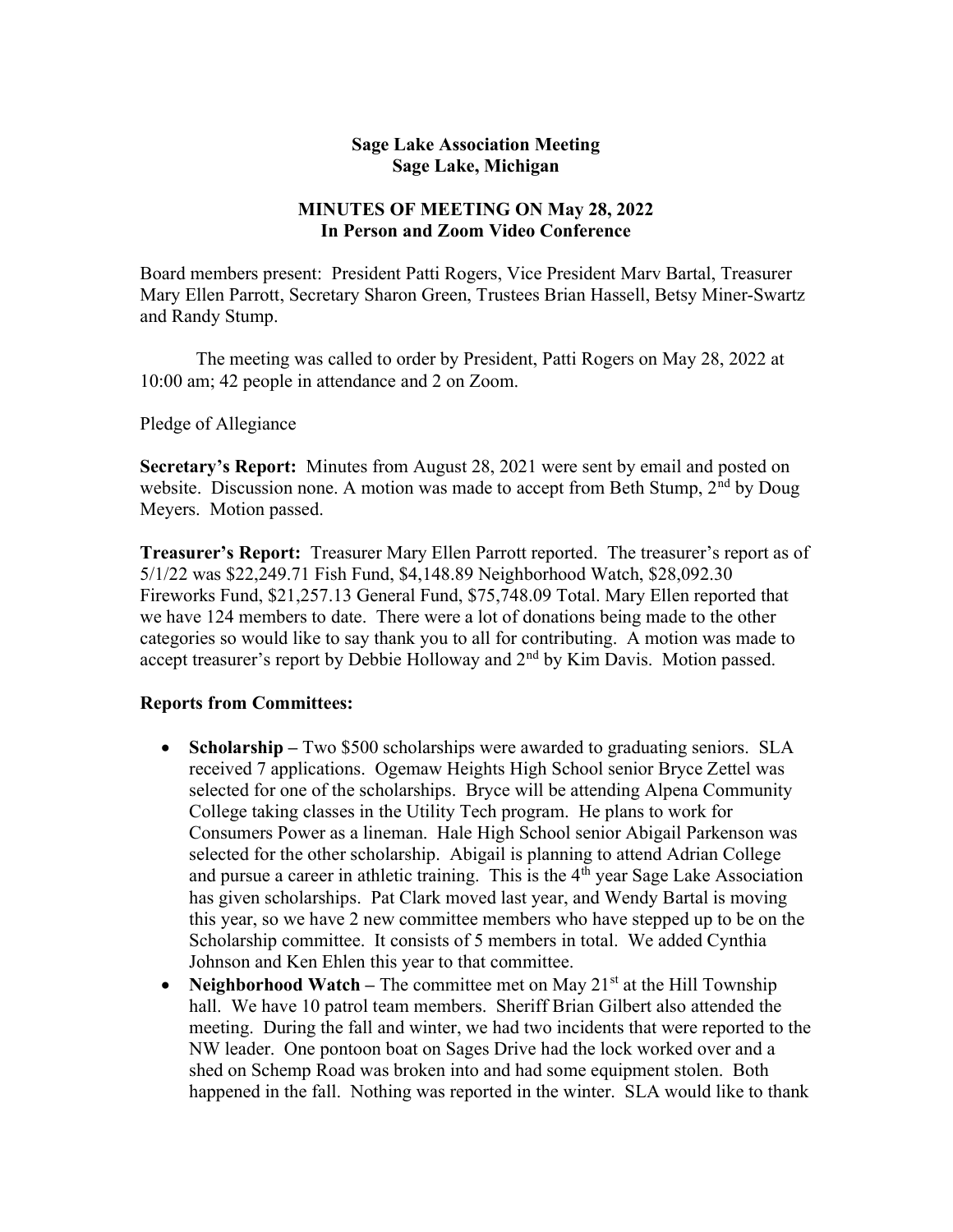## Sage Lake Association Meeting Sage Lake, Michigan

## MINUTES OF MEETING ON May 28, 2022 In Person and Zoom Video Conference

Board members present: President Patti Rogers, Vice President Marv Bartal, Treasurer Mary Ellen Parrott, Secretary Sharon Green, Trustees Brian Hassell, Betsy Miner-Swartz and Randy Stump.

 The meeting was called to order by President, Patti Rogers on May 28, 2022 at 10:00 am; 42 people in attendance and 2 on Zoom.

Pledge of Allegiance

Secretary's Report: Minutes from August 28, 2021 were sent by email and posted on website. Discussion none. A motion was made to accept from Beth Stump,  $2<sup>nd</sup>$  by Doug Meyers. Motion passed.

Treasurer's Report: Treasurer Mary Ellen Parrott reported. The treasurer's report as of 5/1/22 was \$22,249.71 Fish Fund, \$4,148.89 Neighborhood Watch, \$28,092.30 Fireworks Fund, \$21,257.13 General Fund, \$75,748.09 Total. Mary Ellen reported that we have 124 members to date. There were a lot of donations being made to the other categories so would like to say thank you to all for contributing. A motion was made to accept treasurer's report by Debbie Holloway and 2<sup>nd</sup> by Kim Davis. Motion passed.

## Reports from Committees:

- Scholarship Two \$500 scholarships were awarded to graduating seniors. SLA received 7 applications. Ogemaw Heights High School senior Bryce Zettel was selected for one of the scholarships. Bryce will be attending Alpena Community College taking classes in the Utility Tech program. He plans to work for Consumers Power as a lineman. Hale High School senior Abigail Parkenson was selected for the other scholarship. Abigail is planning to attend Adrian College and pursue a career in athletic training. This is the 4<sup>th</sup> year Sage Lake Association has given scholarships. Pat Clark moved last year, and Wendy Bartal is moving this year, so we have 2 new committee members who have stepped up to be on the Scholarship committee. It consists of 5 members in total. We added Cynthia Johnson and Ken Ehlen this year to that committee.
- Neighborhood Watch The committee met on May  $21<sup>st</sup>$  at the Hill Township hall. We have 10 patrol team members. Sheriff Brian Gilbert also attended the meeting. During the fall and winter, we had two incidents that were reported to the NW leader. One pontoon boat on Sages Drive had the lock worked over and a shed on Schemp Road was broken into and had some equipment stolen. Both happened in the fall. Nothing was reported in the winter. SLA would like to thank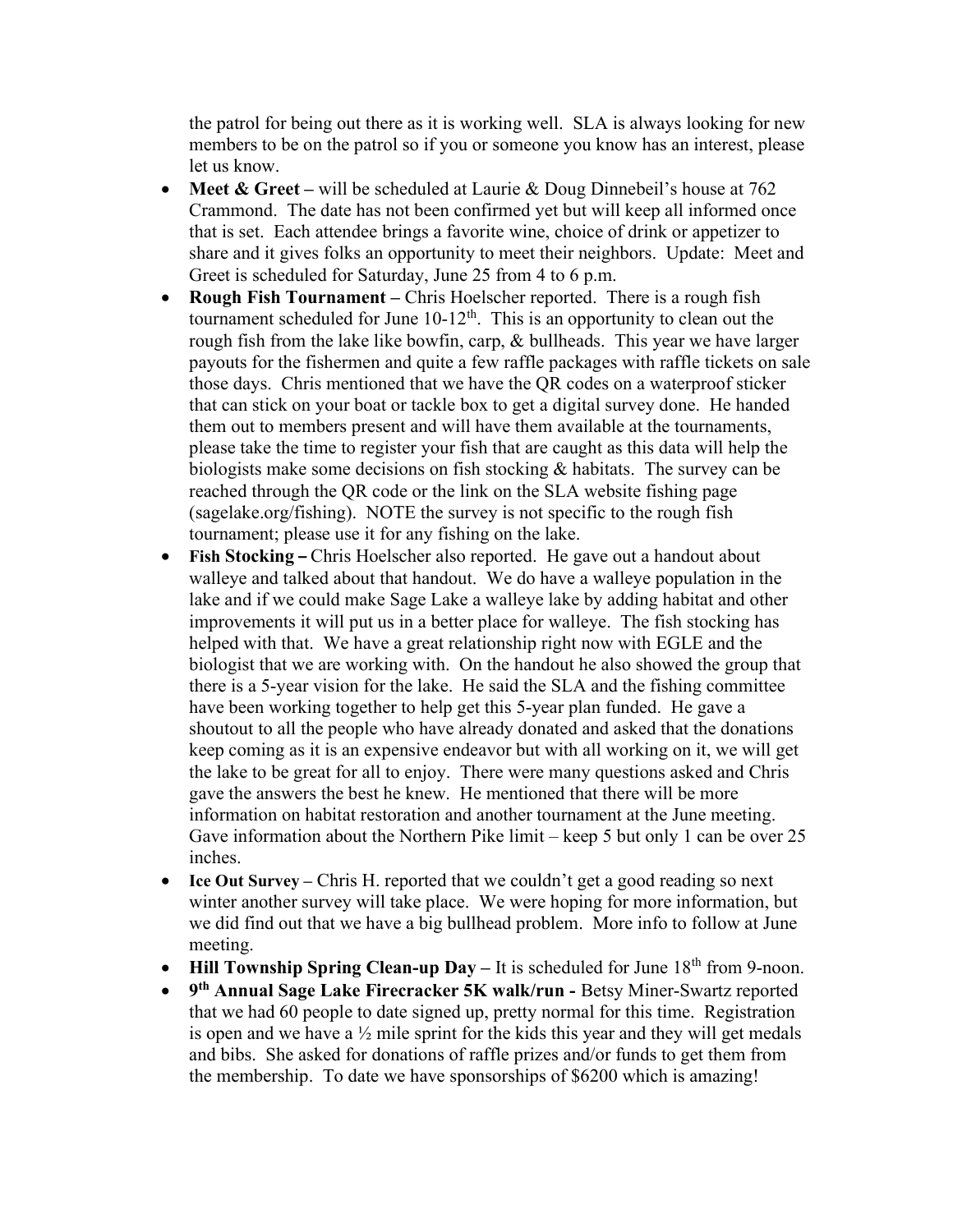the patrol for being out there as it is working well. SLA is always looking for new members to be on the patrol so if you or someone you know has an interest, please let us know.

- Meet & Greet will be scheduled at Laurie & Doug Dinnebeil's house at  $762$ Crammond. The date has not been confirmed yet but will keep all informed once that is set. Each attendee brings a favorite wine, choice of drink or appetizer to share and it gives folks an opportunity to meet their neighbors. Update: Meet and Greet is scheduled for Saturday, June 25 from 4 to 6 p.m.
- Rough Fish Tournament Chris Hoelscher reported. There is a rough fish tournament scheduled for June  $10-12<sup>th</sup>$ . This is an opportunity to clean out the rough fish from the lake like bowfin, carp, & bullheads. This year we have larger payouts for the fishermen and quite a few raffle packages with raffle tickets on sale those days. Chris mentioned that we have the QR codes on a waterproof sticker that can stick on your boat or tackle box to get a digital survey done. He handed them out to members present and will have them available at the tournaments, please take the time to register your fish that are caught as this data will help the biologists make some decisions on fish stocking & habitats. The survey can be reached through the QR code or the link on the SLA website fishing page (sagelake.org/fishing). NOTE the survey is not specific to the rough fish tournament; please use it for any fishing on the lake.
- Fish Stocking Chris Hoelscher also reported. He gave out a handout about walleye and talked about that handout. We do have a walleye population in the lake and if we could make Sage Lake a walleye lake by adding habitat and other improvements it will put us in a better place for walleye. The fish stocking has helped with that. We have a great relationship right now with EGLE and the biologist that we are working with. On the handout he also showed the group that there is a 5-year vision for the lake. He said the SLA and the fishing committee have been working together to help get this 5-year plan funded. He gave a shoutout to all the people who have already donated and asked that the donations keep coming as it is an expensive endeavor but with all working on it, we will get the lake to be great for all to enjoy. There were many questions asked and Chris gave the answers the best he knew. He mentioned that there will be more information on habitat restoration and another tournament at the June meeting. Gave information about the Northern Pike limit – keep 5 but only 1 can be over 25 inches.
- Ice Out Survey Chris H. reported that we couldn't get a good reading so next winter another survey will take place. We were hoping for more information, but we did find out that we have a big bullhead problem. More info to follow at June meeting.
- Hill Township Spring Clean-up Day It is scheduled for June  $18<sup>th</sup>$  from 9-noon.
- 9<sup>th</sup> Annual Sage Lake Firecracker 5K walk/run Betsy Miner-Swartz reported that we had 60 people to date signed up, pretty normal for this time. Registration is open and we have a ½ mile sprint for the kids this year and they will get medals and bibs. She asked for donations of raffle prizes and/or funds to get them from the membership. To date we have sponsorships of \$6200 which is amazing!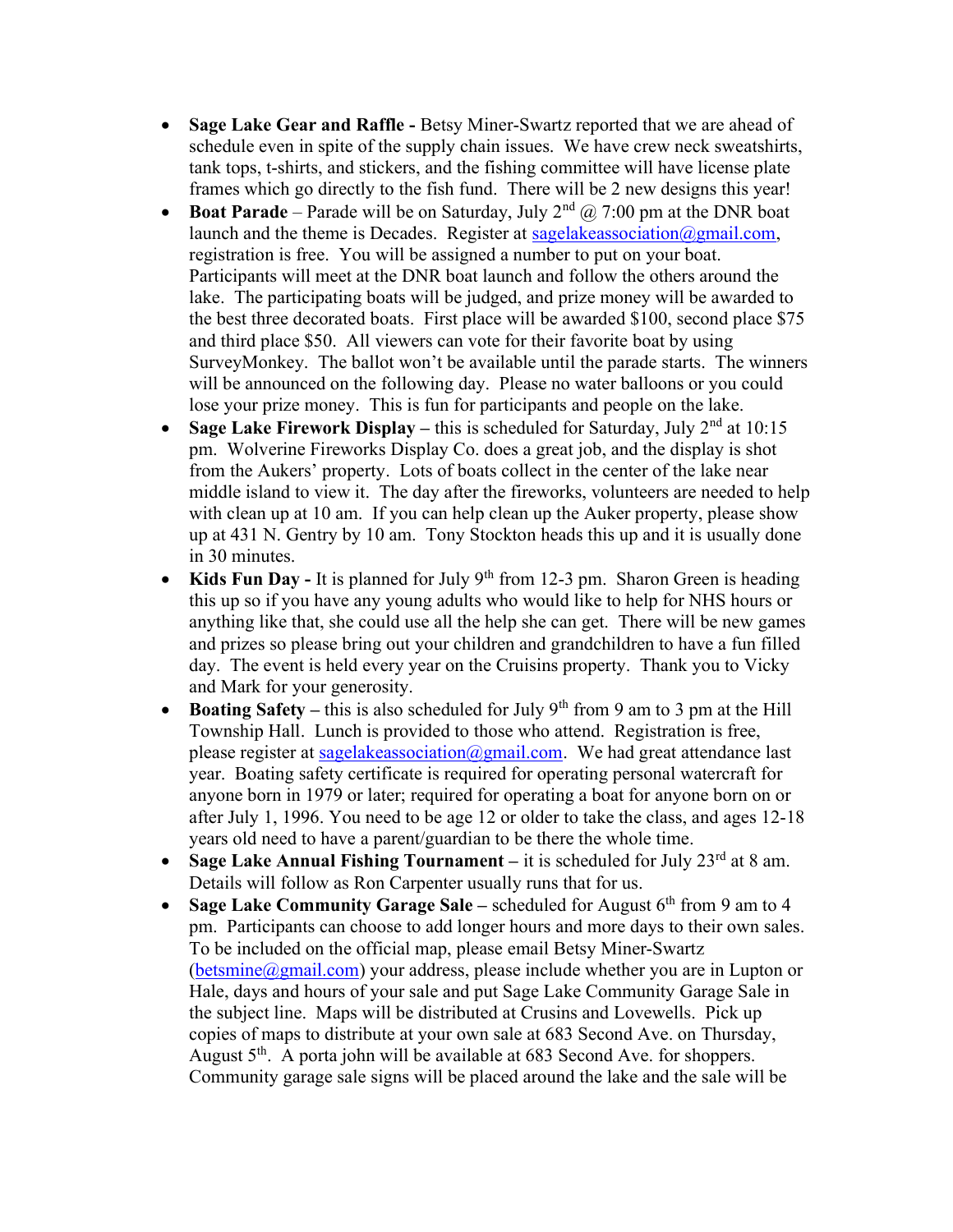- Sage Lake Gear and Raffle Betsy Miner-Swartz reported that we are ahead of schedule even in spite of the supply chain issues. We have crew neck sweatshirts, tank tops, t-shirts, and stickers, and the fishing committee will have license plate frames which go directly to the fish fund. There will be 2 new designs this year!
- **Boat Parade** Parade will be on Saturday, July  $2^{nd}$   $\omega$  7:00 pm at the DNR boat launch and the theme is Decades. Register at sagelakeassociation  $\omega$ gmail.com, registration is free. You will be assigned a number to put on your boat. Participants will meet at the DNR boat launch and follow the others around the lake. The participating boats will be judged, and prize money will be awarded to the best three decorated boats. First place will be awarded \$100, second place \$75 and third place \$50. All viewers can vote for their favorite boat by using SurveyMonkey. The ballot won't be available until the parade starts. The winners will be announced on the following day. Please no water balloons or you could lose your prize money. This is fun for participants and people on the lake.
- Sage Lake Firework Display this is scheduled for Saturday, July  $2<sup>nd</sup>$  at 10:15 pm. Wolverine Fireworks Display Co. does a great job, and the display is shot from the Aukers' property. Lots of boats collect in the center of the lake near middle island to view it. The day after the fireworks, volunteers are needed to help with clean up at 10 am. If you can help clean up the Auker property, please show up at 431 N. Gentry by 10 am. Tony Stockton heads this up and it is usually done in 30 minutes.
- Kids Fun Day It is planned for July  $9<sup>th</sup>$  from 12-3 pm. Sharon Green is heading this up so if you have any young adults who would like to help for NHS hours or anything like that, she could use all the help she can get. There will be new games and prizes so please bring out your children and grandchildren to have a fun filled day. The event is held every year on the Cruisins property. Thank you to Vicky and Mark for your generosity.
- **Boating Safety** this is also scheduled for July 9<sup>th</sup> from 9 am to 3 pm at the Hill Township Hall. Lunch is provided to those who attend. Registration is free, please register at sagelakeassociation@gmail.com. We had great attendance last year. Boating safety certificate is required for operating personal watercraft for anyone born in 1979 or later; required for operating a boat for anyone born on or after July 1, 1996. You need to be age 12 or older to take the class, and ages 12-18 years old need to have a parent/guardian to be there the whole time.
- Sage Lake Annual Fishing Tournament it is scheduled for July  $23<sup>rd</sup>$  at 8 am. Details will follow as Ron Carpenter usually runs that for us.
- Sage Lake Community Garage Sale scheduled for August  $6<sup>th</sup>$  from 9 am to 4 pm. Participants can choose to add longer hours and more days to their own sales. To be included on the official map, please email Betsy Miner-Swartz  $(betsmine@gmail.com)$  your address, please include whether you are in Lupton or Hale, days and hours of your sale and put Sage Lake Community Garage Sale in the subject line. Maps will be distributed at Crusins and Lovewells. Pick up copies of maps to distribute at your own sale at 683 Second Ave. on Thursday, August  $5<sup>th</sup>$ . A porta john will be available at 683 Second Ave. for shoppers. Community garage sale signs will be placed around the lake and the sale will be